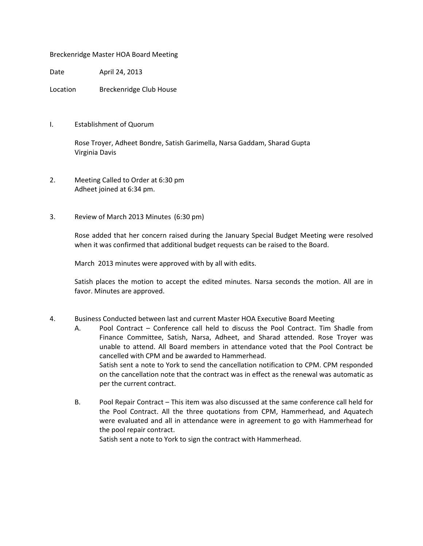## Breckenridge Master HOA Board Meeting

Date April 24, 2013

Location Breckenridge Club House

I. Establishment of Quorum

 Rose Troyer, Adheet Bondre, Satish Garimella, Narsa Gaddam, Sharad Gupta Virginia Davis

- 2. Meeting Called to Order at 6:30 pm Adheet joined at 6:34 pm.
- 3. Review of March 2013 Minutes (6:30 pm)

 Rose added that her concern raised during the January Special Budget Meeting were resolved when it was confirmed that additional budget requests can be raised to the Board.

March 2013 minutes were approved with by all with edits.

Satish places the motion to accept the edited minutes. Narsa seconds the motion. All are in favor. Minutes are approved.

- 4. Business Conducted between last and current Master HOA Executive Board Meeting
	- A. Pool Contract Conference call held to discuss the Pool Contract. Tim Shadle from Finance Committee, Satish, Narsa, Adheet, and Sharad attended. Rose Troyer was unable to attend. All Board members in attendance voted that the Pool Contract be cancelled with CPM and be awarded to Hammerhead. Satish sent a note to York to send the cancellation notification to CPM. CPM responded on the cancellation note that the contract was in effect as the renewal was automatic as per the current contract.
	- B. Pool Repair Contract This item was also discussed at the same conference call held for the Pool Contract. All the three quotations from CPM, Hammerhead, and Aquatech were evaluated and all in attendance were in agreement to go with Hammerhead for the pool repair contract.

Satish sent a note to York to sign the contract with Hammerhead.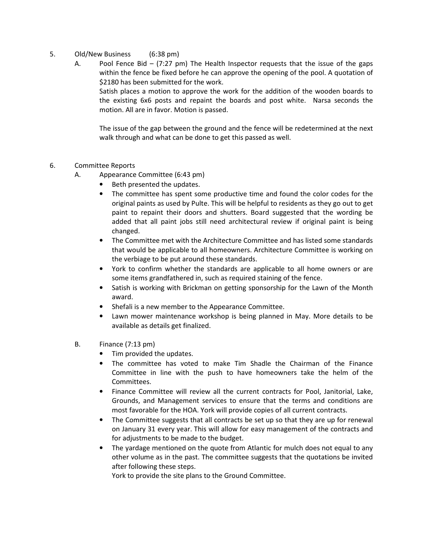- 5. Old/New Business (6:38 pm)
	- A. Pool Fence Bid (7:27 pm) The Health Inspector requests that the issue of the gaps within the fence be fixed before he can approve the opening of the pool. A quotation of \$2180 has been submitted for the work.

Satish places a motion to approve the work for the addition of the wooden boards to the existing 6x6 posts and repaint the boards and post white. Narsa seconds the motion. All are in favor. Motion is passed.

The issue of the gap between the ground and the fence will be redetermined at the next walk through and what can be done to get this passed as well.

- 6. Committee Reports
	- A. Appearance Committee (6:43 pm)
		- Beth presented the updates.
		- The committee has spent some productive time and found the color codes for the original paints as used by Pulte. This will be helpful to residents as they go out to get paint to repaint their doors and shutters. Board suggested that the wording be added that all paint jobs still need architectural review if original paint is being changed.
		- The Committee met with the Architecture Committee and has listed some standards that would be applicable to all homeowners. Architecture Committee is working on the verbiage to be put around these standards.
		- York to confirm whether the standards are applicable to all home owners or are some items grandfathered in, such as required staining of the fence.
		- Satish is working with Brickman on getting sponsorship for the Lawn of the Month award.
		- Shefali is a new member to the Appearance Committee.
		- Lawn mower maintenance workshop is being planned in May. More details to be available as details get finalized.
	- B. Finance (7:13 pm)
		- Tim provided the updates.
		- The committee has voted to make Tim Shadle the Chairman of the Finance Committee in line with the push to have homeowners take the helm of the Committees.
		- Finance Committee will review all the current contracts for Pool, Janitorial, Lake, Grounds, and Management services to ensure that the terms and conditions are most favorable for the HOA. York will provide copies of all current contracts.
		- The Committee suggests that all contracts be set up so that they are up for renewal on January 31 every year. This will allow for easy management of the contracts and for adjustments to be made to the budget.
		- The yardage mentioned on the quote from Atlantic for mulch does not equal to any other volume as in the past. The committee suggests that the quotations be invited after following these steps.

York to provide the site plans to the Ground Committee.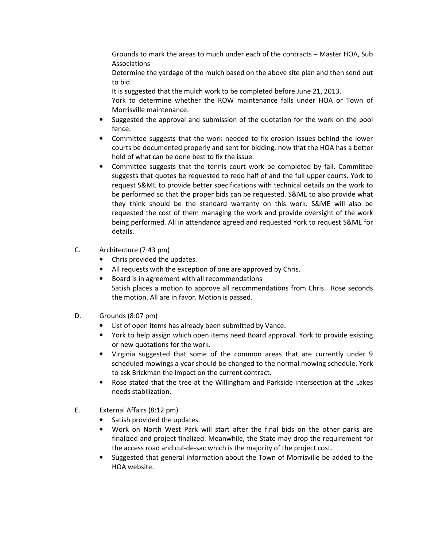Grounds to mark the areas to much under each of the contracts – Master HOA, Sub Associations

Determine the yardage of the mulch based on the above site plan and then send out to bid.

It is suggested that the mulch work to be completed before June 21, 2013.

York to determine whether the ROW maintenance falls under HOA or Town of Morrisville maintenance.

- Suggested the approval and submission of the quotation for the work on the pool fence.
- Committee suggests that the work needed to fix erosion issues behind the lower courts be documented properly and sent for bidding, now that the HOA has a better hold of what can be done best to fix the issue.
- Committee suggests that the tennis court work be completed by fall. Committee suggests that quotes be requested to redo half of and the full upper courts. York to request S&ME to provide better specifications with technical details on the work to be performed so that the proper bids can be requested. S&ME to also provide what they think should be the standard warranty on this work. S&ME will also be requested the cost of them managing the work and provide oversight of the work being performed. All in attendance agreed and requested York to request S&ME for details.
- C. Architecture (7:43 pm)
	- Chris provided the updates.
	- All requests with the exception of one are approved by Chris.
	- Board is in agreement with all recommendations Satish places a motion to approve all recommendations from Chris. Rose seconds the motion. All are in favor. Motion is passed.
- D. Grounds (8:07 pm)
	- List of open items has already been submitted by Vance.
	- York to help assign which open items need Board approval. York to provide existing or new quotations for the work.
	- Virginia suggested that some of the common areas that are currently under 9 scheduled mowings a year should be changed to the normal mowing schedule. York to ask Brickman the impact on the current contract.
	- Rose stated that the tree at the Willingham and Parkside intersection at the Lakes needs stabilization.
- E. External Affairs (8:12 pm)
	- Satish provided the updates.
	- Work on North West Park will start after the final bids on the other parks are finalized and project finalized. Meanwhile, the State may drop the requirement for the access road and cul-de-sac which is the majority of the project cost.
	- Suggested that general information about the Town of Morrisville be added to the HOA website.